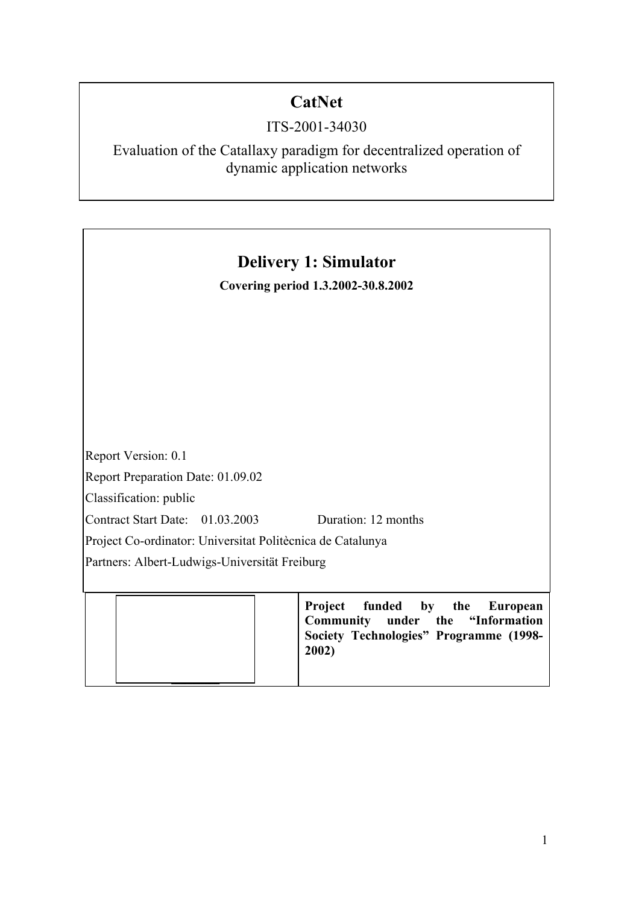# **CatNet**

## ITS-2001-34030

Evaluation of the Catallaxy paradigm for decentralized operation of dynamic application networks

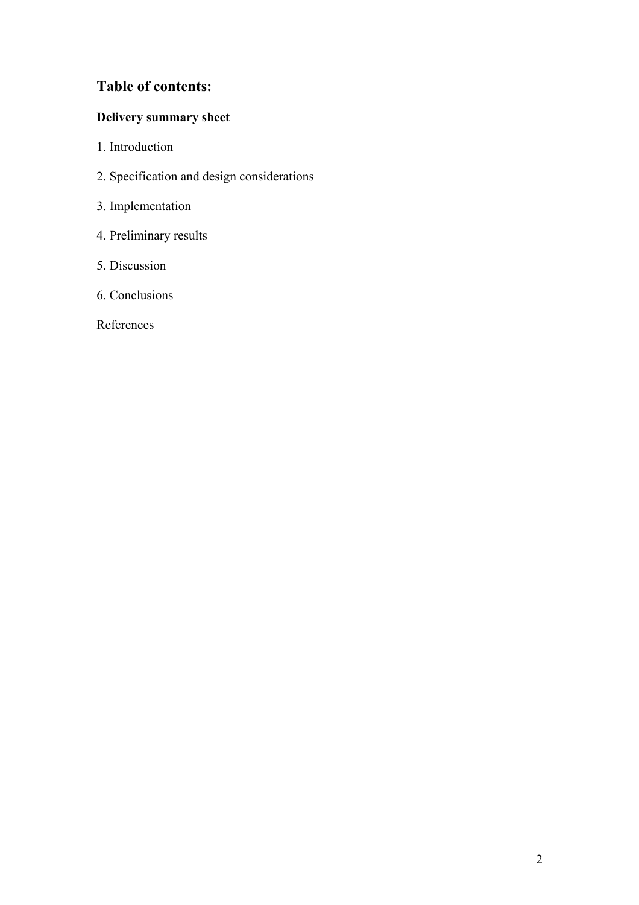## **Table of contents:**

## **Delivery summary sheet**

- 1. Introduction
- 2. Specification and design considerations
- 3. Implementation
- 4. Preliminary results
- 5. Discussion
- 6. Conclusions

References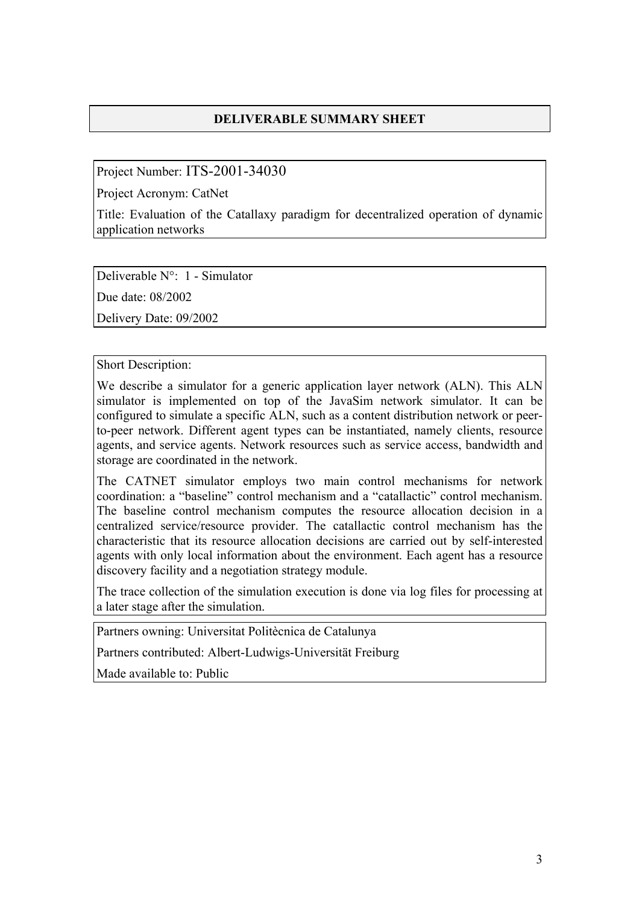### **DELIVERABLE SUMMARY SHEET**

Project Number: ITS-2001-34030

Project Acronym: CatNet

Title: Evaluation of the Catallaxy paradigm for decentralized operation of dynamic application networks

Deliverable N°: 1 - Simulator

Due date: 08/2002

Delivery Date: 09/2002

Short Description:

We describe a simulator for a generic application layer network (ALN). This ALN simulator is implemented on top of the JavaSim network simulator. It can be configured to simulate a specific ALN, such as a content distribution network or peerto-peer network. Different agent types can be instantiated, namely clients, resource agents, and service agents. Network resources such as service access, bandwidth and storage are coordinated in the network.

The CATNET simulator employs two main control mechanisms for network coordination: a "baseline" control mechanism and a "catallactic" control mechanism. The baseline control mechanism computes the resource allocation decision in a centralized service/resource provider. The catallactic control mechanism has the characteristic that its resource allocation decisions are carried out by self-interested agents with only local information about the environment. Each agent has a resource discovery facility and a negotiation strategy module.

The trace collection of the simulation execution is done via log files for processing at a later stage after the simulation.

Partners owning: Universitat Politècnica de Catalunya

Partners contributed: Albert-Ludwigs-Universität Freiburg

Made available to: Public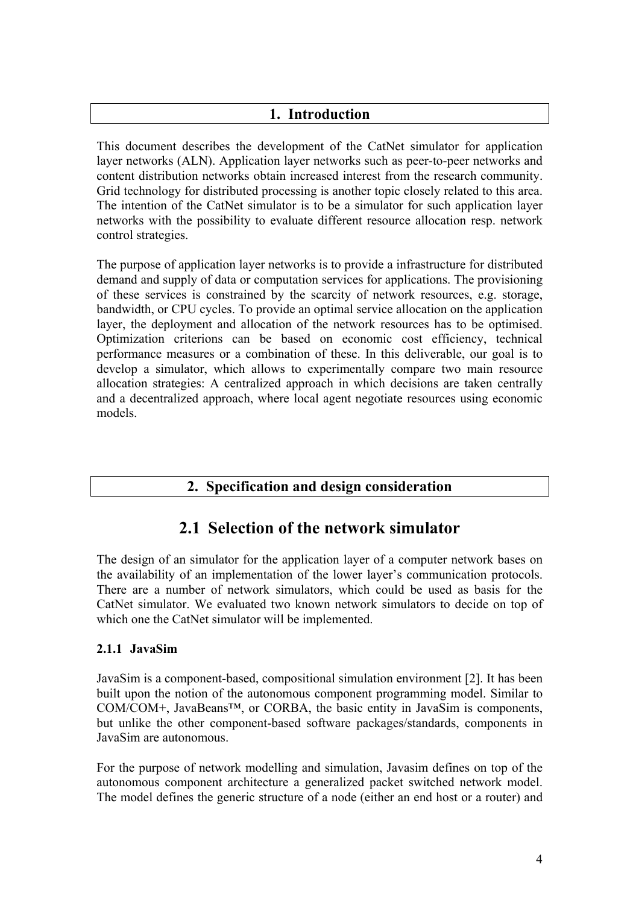### **1. Introduction**

This document describes the development of the CatNet simulator for application layer networks (ALN). Application layer networks such as peer-to-peer networks and content distribution networks obtain increased interest from the research community. Grid technology for distributed processing is another topic closely related to this area. The intention of the CatNet simulator is to be a simulator for such application layer networks with the possibility to evaluate different resource allocation resp. network control strategies.

The purpose of application layer networks is to provide a infrastructure for distributed demand and supply of data or computation services for applications. The provisioning of these services is constrained by the scarcity of network resources, e.g. storage, bandwidth, or CPU cycles. To provide an optimal service allocation on the application layer, the deployment and allocation of the network resources has to be optimised. Optimization criterions can be based on economic cost efficiency, technical performance measures or a combination of these. In this deliverable, our goal is to develop a simulator, which allows to experimentally compare two main resource allocation strategies: A centralized approach in which decisions are taken centrally and a decentralized approach, where local agent negotiate resources using economic models.

### **2. Specification and design consideration**

## **2.1 Selection of the network simulator**

The design of an simulator for the application layer of a computer network bases on the availability of an implementation of the lower layer's communication protocols. There are a number of network simulators, which could be used as basis for the CatNet simulator. We evaluated two known network simulators to decide on top of which one the CatNet simulator will be implemented.

### **2.1.1 JavaSim**

JavaSim is a component-based, compositional simulation environment [2]. It has been built upon the notion of the autonomous component programming model. Similar to COM/COM+, JavaBeans™, or CORBA, the basic entity in JavaSim is components, but unlike the other component-based software packages/standards, components in JavaSim are autonomous.

For the purpose of network modelling and simulation, Javasim defines on top of the autonomous component architecture a generalized packet switched network model. The model defines the generic structure of a node (either an end host or a router) and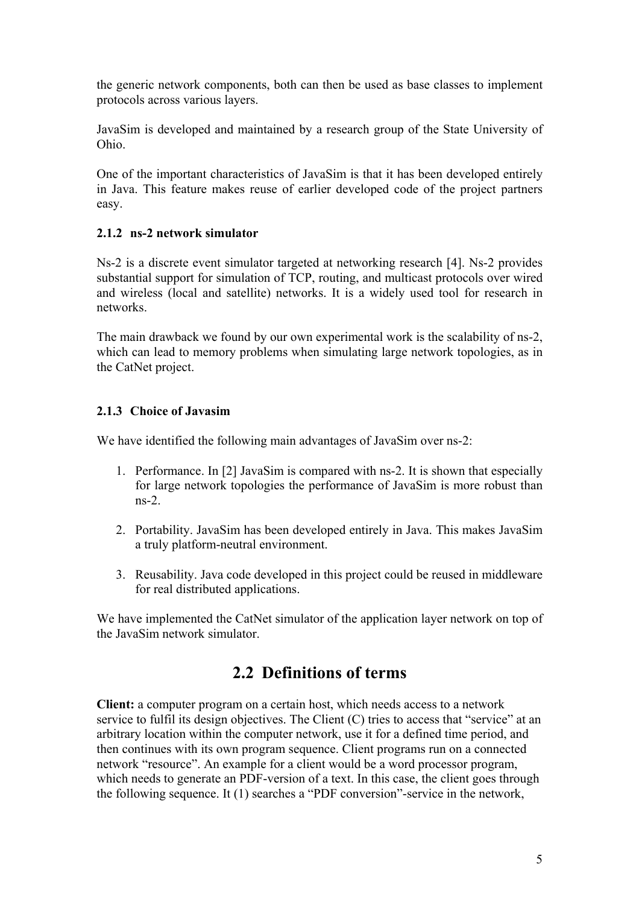the generic network components, both can then be used as base classes to implement protocols across various layers.

JavaSim is developed and maintained by a research group of the State University of Ohio.

One of the important characteristics of JavaSim is that it has been developed entirely in Java. This feature makes reuse of earlier developed code of the project partners easy.

#### **2.1.2 ns-2 network simulator**

Ns-2 is a discrete event simulator targeted at networking research [4]. Ns-2 provides substantial support for simulation of TCP, routing, and multicast protocols over wired and wireless (local and satellite) networks. It is a widely used tool for research in networks.

The main drawback we found by our own experimental work is the scalability of ns-2, which can lead to memory problems when simulating large network topologies, as in the CatNet project.

#### **2.1.3 Choice of Javasim**

We have identified the following main advantages of JavaSim over ns-2:

- 1. Performance. In [2] JavaSim is compared with ns-2. It is shown that especially for large network topologies the performance of JavaSim is more robust than ns-2.
- 2. Portability. JavaSim has been developed entirely in Java. This makes JavaSim a truly platform-neutral environment.
- 3. Reusability. Java code developed in this project could be reused in middleware for real distributed applications.

We have implemented the CatNet simulator of the application layer network on top of the JavaSim network simulator.

## **2.2 Definitions of terms**

**Client:** a computer program on a certain host, which needs access to a network service to fulfil its design objectives. The Client (C) tries to access that "service" at an arbitrary location within the computer network, use it for a defined time period, and then continues with its own program sequence. Client programs run on a connected network "resource". An example for a client would be a word processor program, which needs to generate an PDF-version of a text. In this case, the client goes through the following sequence. It (1) searches a "PDF conversion"-service in the network,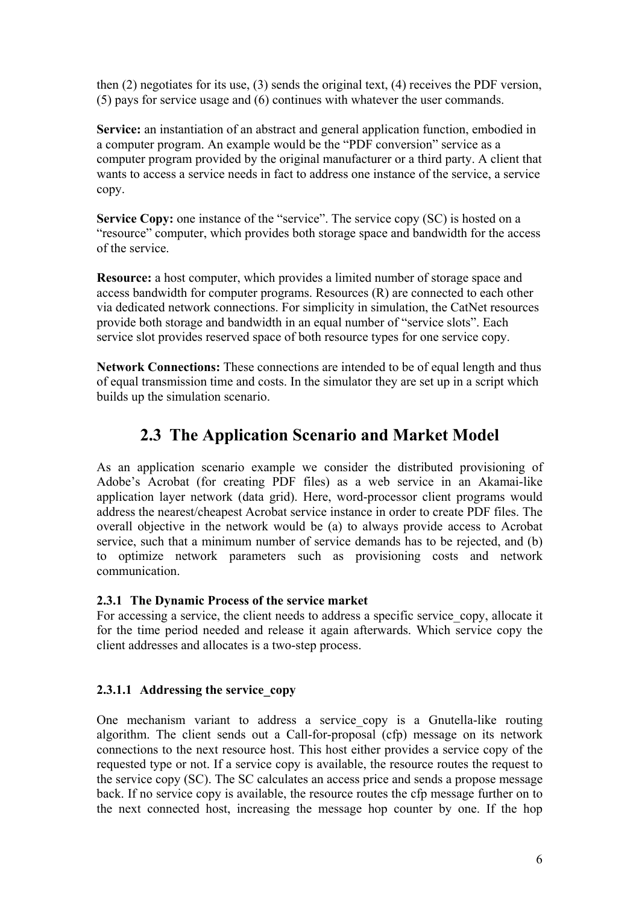then (2) negotiates for its use, (3) sends the original text, (4) receives the PDF version, (5) pays for service usage and (6) continues with whatever the user commands.

**Service:** an instantiation of an abstract and general application function, embodied in a computer program. An example would be the "PDF conversion" service as a computer program provided by the original manufacturer or a third party. A client that wants to access a service needs in fact to address one instance of the service, a service copy.

**Service Copy:** one instance of the "service". The service copy (SC) is hosted on a "resource" computer, which provides both storage space and bandwidth for the access of the service.

**Resource:** a host computer, which provides a limited number of storage space and access bandwidth for computer programs. Resources (R) are connected to each other via dedicated network connections. For simplicity in simulation, the CatNet resources provide both storage and bandwidth in an equal number of "service slots". Each service slot provides reserved space of both resource types for one service copy.

**Network Connections:** These connections are intended to be of equal length and thus of equal transmission time and costs. In the simulator they are set up in a script which builds up the simulation scenario.

## **2.3 The Application Scenario and Market Model**

As an application scenario example we consider the distributed provisioning of Adobe's Acrobat (for creating PDF files) as a web service in an Akamai-like application layer network (data grid). Here, word-processor client programs would address the nearest/cheapest Acrobat service instance in order to create PDF files. The overall objective in the network would be (a) to always provide access to Acrobat service, such that a minimum number of service demands has to be rejected, and (b) to optimize network parameters such as provisioning costs and network communication.

#### **2.3.1 The Dynamic Process of the service market**

For accessing a service, the client needs to address a specific service copy, allocate it for the time period needed and release it again afterwards. Which service copy the client addresses and allocates is a two-step process.

#### **2.3.1.1 Addressing the service\_copy**

One mechanism variant to address a service copy is a Gnutella-like routing algorithm. The client sends out a Call-for-proposal (cfp) message on its network connections to the next resource host. This host either provides a service copy of the requested type or not. If a service copy is available, the resource routes the request to the service copy (SC). The SC calculates an access price and sends a propose message back. If no service copy is available, the resource routes the cfp message further on to the next connected host, increasing the message hop counter by one. If the hop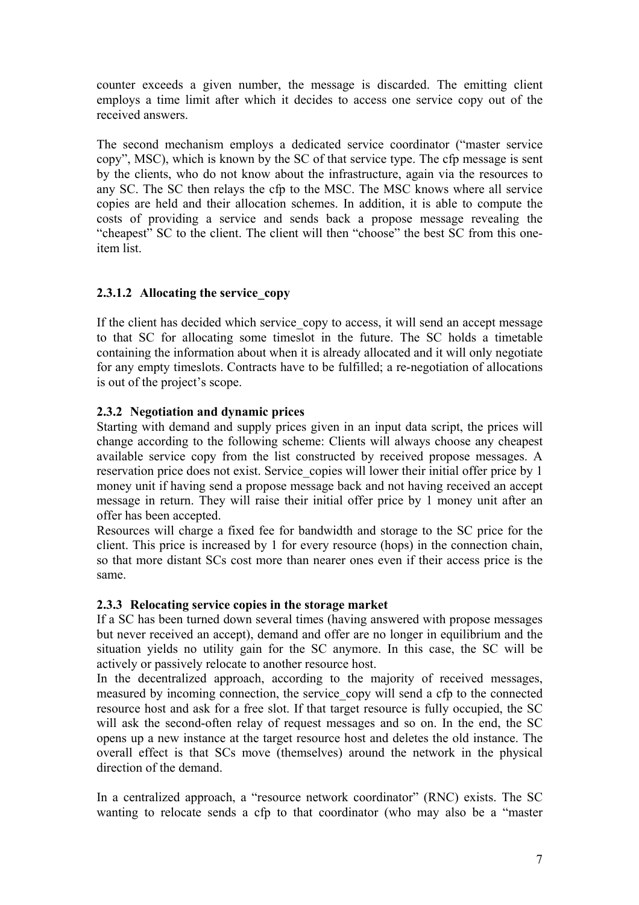counter exceeds a given number, the message is discarded. The emitting client employs a time limit after which it decides to access one service copy out of the received answers.

The second mechanism employs a dedicated service coordinator ("master service copy", MSC), which is known by the SC of that service type. The cfp message is sent by the clients, who do not know about the infrastructure, again via the resources to any SC. The SC then relays the cfp to the MSC. The MSC knows where all service copies are held and their allocation schemes. In addition, it is able to compute the costs of providing a service and sends back a propose message revealing the "cheapest" SC to the client. The client will then "choose" the best SC from this oneitem list.

#### **2.3.1.2 Allocating the service\_copy**

If the client has decided which service copy to access, it will send an accept message to that SC for allocating some timeslot in the future. The SC holds a timetable containing the information about when it is already allocated and it will only negotiate for any empty timeslots. Contracts have to be fulfilled; a re-negotiation of allocations is out of the project's scope.

#### **2.3.2 Negotiation and dynamic prices**

Starting with demand and supply prices given in an input data script, the prices will change according to the following scheme: Clients will always choose any cheapest available service copy from the list constructed by received propose messages. A reservation price does not exist. Service copies will lower their initial offer price by 1 money unit if having send a propose message back and not having received an accept message in return. They will raise their initial offer price by 1 money unit after an offer has been accepted.

Resources will charge a fixed fee for bandwidth and storage to the SC price for the client. This price is increased by 1 for every resource (hops) in the connection chain, so that more distant SCs cost more than nearer ones even if their access price is the same.

#### **2.3.3 Relocating service copies in the storage market**

If a SC has been turned down several times (having answered with propose messages but never received an accept), demand and offer are no longer in equilibrium and the situation yields no utility gain for the SC anymore. In this case, the SC will be actively or passively relocate to another resource host.

In the decentralized approach, according to the majority of received messages, measured by incoming connection, the service\_copy will send a cfp to the connected resource host and ask for a free slot. If that target resource is fully occupied, the SC will ask the second-often relay of request messages and so on. In the end, the SC opens up a new instance at the target resource host and deletes the old instance. The overall effect is that SCs move (themselves) around the network in the physical direction of the demand.

In a centralized approach, a "resource network coordinator" (RNC) exists. The SC wanting to relocate sends a cfp to that coordinator (who may also be a "master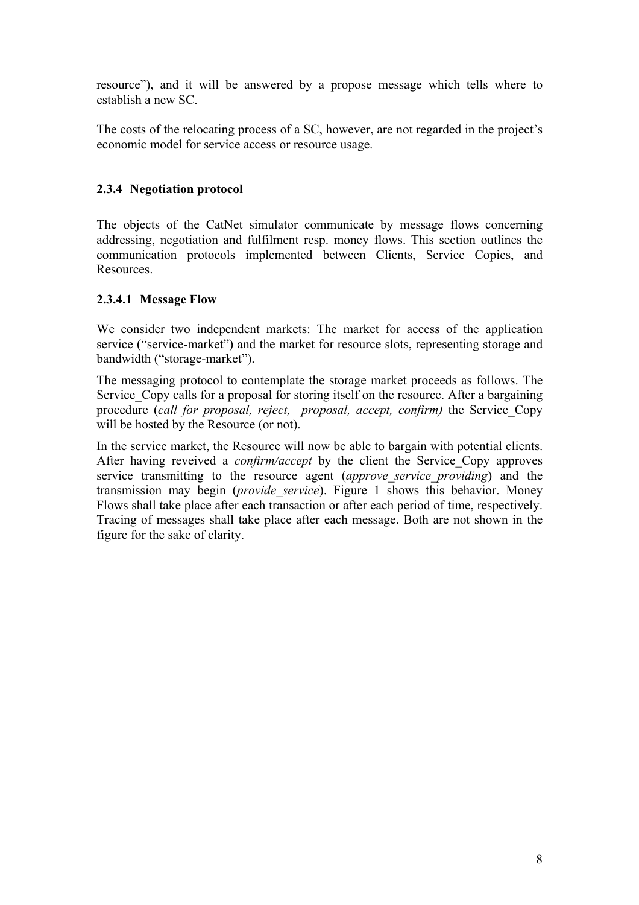resource"), and it will be answered by a propose message which tells where to establish a new SC.

The costs of the relocating process of a SC, however, are not regarded in the project's economic model for service access or resource usage.

#### **2.3.4 Negotiation protocol**

The objects of the CatNet simulator communicate by message flows concerning addressing, negotiation and fulfilment resp. money flows. This section outlines the communication protocols implemented between Clients, Service Copies, and Resources.

#### **2.3.4.1 Message Flow**

We consider two independent markets: The market for access of the application service ("service-market") and the market for resource slots, representing storage and bandwidth ("storage-market").

The messaging protocol to contemplate the storage market proceeds as follows. The Service Copy calls for a proposal for storing itself on the resource. After a bargaining procedure (*call for proposal, reject, proposal, accept, confirm)* the Service\_Copy will be hosted by the Resource (or not).

In the service market, the Resource will now be able to bargain with potential clients. After having reveived a *confirm/accept* by the client the Service\_Copy approves service transmitting to the resource agent *(approve service providing*) and the transmission may begin (*provide\_service*). Figure 1 shows this behavior. Money Flows shall take place after each transaction or after each period of time, respectively. Tracing of messages shall take place after each message. Both are not shown in the figure for the sake of clarity.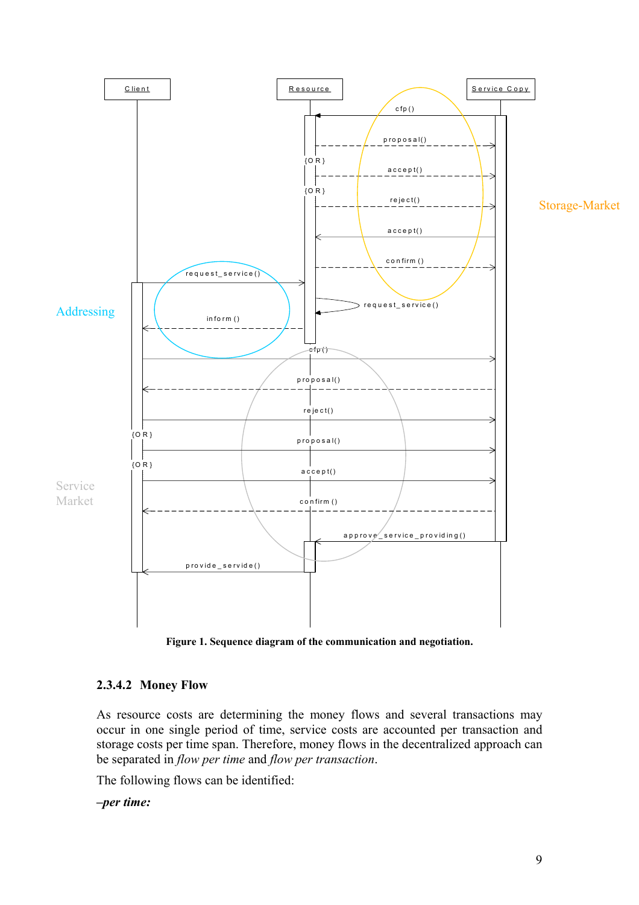

**Figure 1. Sequence diagram of the communication and negotiation.**

### **2.3.4.2 Money Flow**

As resource costs are determining the money flows and several transactions may occur in one single period of time, service costs are accounted per transaction and storage costs per time span. Therefore, money flows in the decentralized approach can be separated in *flow per time* and *flow per transaction*.

The following flows can be identified:

*–per time:*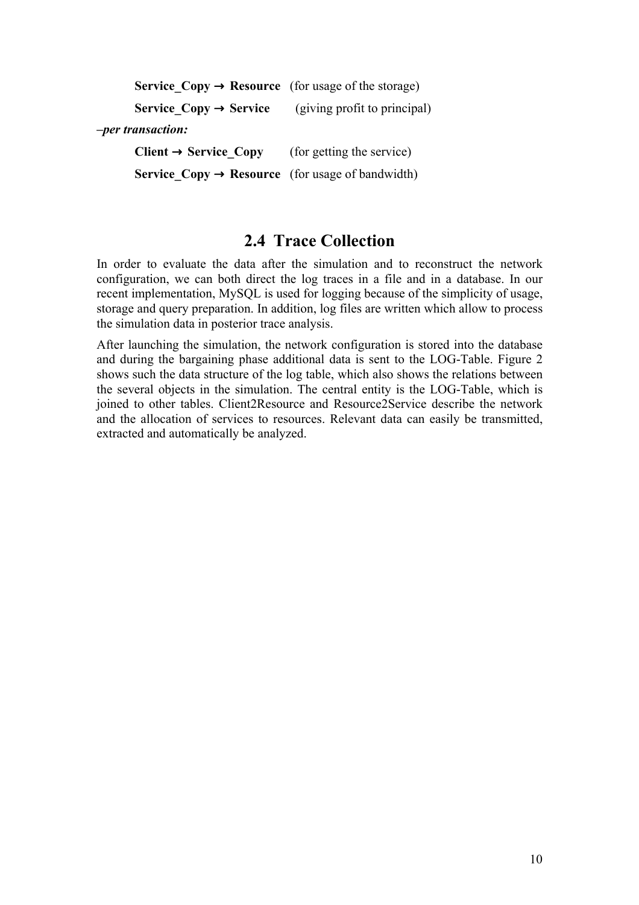| <b>Service Copy <math>\rightarrow</math> Resource</b> (for usage of the storage) |                              |
|----------------------------------------------------------------------------------|------------------------------|
| Service $Copy \rightarrow Service$                                               | (giving profit to principal) |
| -per transaction:                                                                |                              |
| $Client \rightarrow Service Copy$                                                | (for getting the service)    |
| <b>Service Copy <math>\rightarrow</math> Resource</b> (for usage of bandwidth)   |                              |

### **2.4 Trace Collection**

In order to evaluate the data after the simulation and to reconstruct the network configuration, we can both direct the log traces in a file and in a database. In our recent implementation, MySQL is used for logging because of the simplicity of usage, storage and query preparation. In addition, log files are written which allow to process the simulation data in posterior trace analysis.

After launching the simulation, the network configuration is stored into the database and during the bargaining phase additional data is sent to the LOG-Table. Figure 2 shows such the data structure of the log table, which also shows the relations between the several objects in the simulation. The central entity is the LOG-Table, which is joined to other tables. Client2Resource and Resource2Service describe the network and the allocation of services to resources. Relevant data can easily be transmitted, extracted and automatically be analyzed.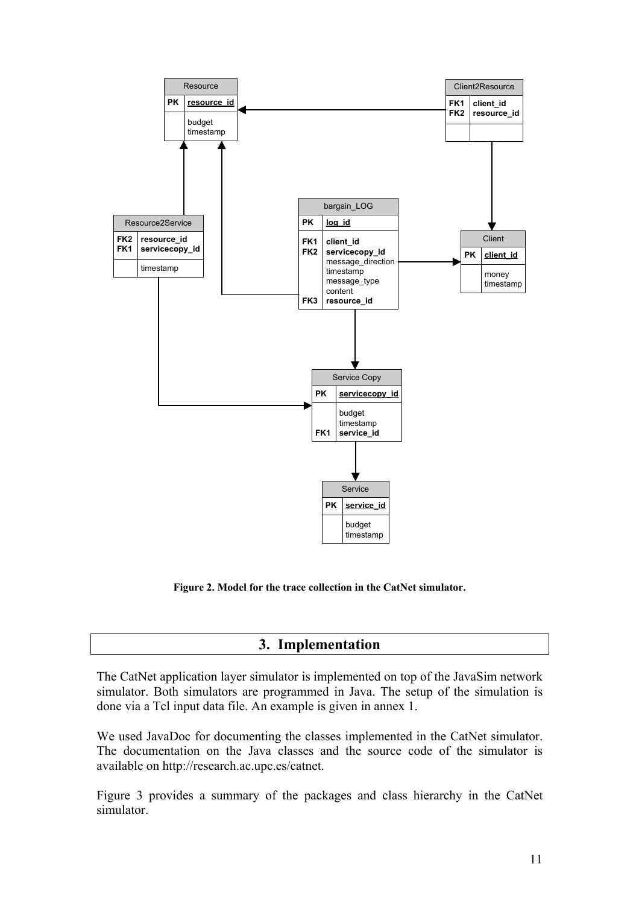

**Figure 2. Model for the trace collection in the CatNet simulator.** 

### **3. Implementation**

The CatNet application layer simulator is implemented on top of the JavaSim network simulator. Both simulators are programmed in Java. The setup of the simulation is done via a Tcl input data file. An example is given in annex 1.

We used JavaDoc for documenting the classes implemented in the CatNet simulator. The documentation on the Java classes and the source code of the simulator is available on http://research.ac.upc.es/catnet.

Figure 3 provides a summary of the packages and class hierarchy in the CatNet simulator.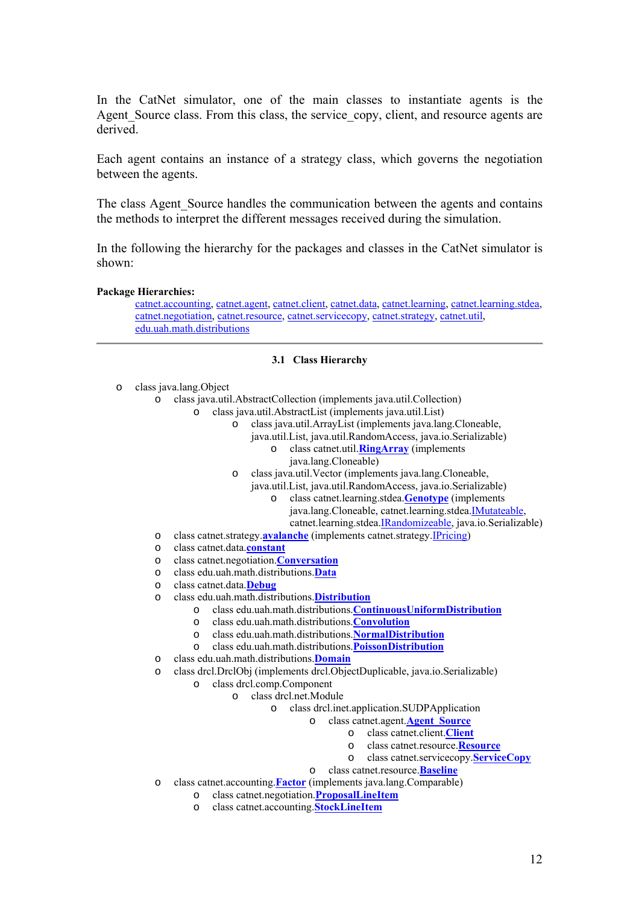In the CatNet simulator, one of the main classes to instantiate agents is the Agent Source class. From this class, the service copy, client, and resource agents are derived.

Each agent contains an instance of a strategy class, which governs the negotiation between the agents.

The class Agent Source handles the communication between the agents and contains the methods to interpret the different messages received during the simulation.

In the following the hierarchy for the packages and classes in the CatNet simulator is shown:

#### **Package Hierarchies:**

[catnet.accounting](http://research.ac.upc.es/catnet/javadoc/catnet/accounting/package-tree.html), [catnet.agent](http://research.ac.upc.es/catnet/javadoc/catnet/agent/package-tree.html), [catnet.client,](http://research.ac.upc.es/catnet/javadoc/catnet/client/package-tree.html) [catnet.data,](http://research.ac.upc.es/catnet/javadoc/catnet/data/package-tree.html) [catnet.learning](http://research.ac.upc.es/catnet/javadoc/catnet/learning/package-tree.html), [catnet.learning.stdea](http://research.ac.upc.es/catnet/javadoc/catnet/learning/stdea/package-tree.html), [catnet.negotiation](http://research.ac.upc.es/catnet/javadoc/catnet/negotiation/package-tree.html), [catnet.resource,](http://research.ac.upc.es/catnet/javadoc/catnet/resource/package-tree.html) [catnet.servicecopy,](http://research.ac.upc.es/catnet/javadoc/catnet/servicecopy/package-tree.html) [catnet.strategy,](http://research.ac.upc.es/catnet/javadoc/catnet/strategy/package-tree.html) [catnet.util](http://research.ac.upc.es/catnet/javadoc/catnet/util/package-tree.html), [edu.uah.math.distributions](http://research.ac.upc.es/catnet/javadoc/edu/uah/math/distributions/package-tree.html)

#### **3.1 Class Hierarchy**

- o class java.lang.Object
	- o class java.util.AbstractCollection (implements java.util.Collection)
		- o class java.util.AbstractList (implements java.util.List)
			- o class java.util.ArrayList (implements java.lang.Cloneable, java.util.List, java.util.RandomAccess, java.io.Serializable) o class catnet.util.**[RingArray](http://research.ac.upc.es/catnet/javadoc/catnet/util/RingArray.html)** (implements
				- java.lang.Cloneable)
				- o class java.util.Vector (implements java.lang.Cloneable,
					- java.util.List, java.util.RandomAccess, java.io.Serializable)
						- o class catnet.learning.stdea.**[Genotype](http://research.ac.upc.es/catnet/javadoc/catnet/learning/stdea/Genotype.html)** (implements java.lang.Cloneable, catnet.learning.stdea[.IMutateable](http://research.ac.upc.es/catnet/javadoc/catnet/learning/stdea/IMutateable.html), catnet.learning.stdea.[IRandomizeable](http://research.ac.upc.es/catnet/javadoc/catnet/learning/stdea/IRandomizeable.html), java.io.Serializable)
	- o class catnet.strategy.**[avalanche](http://research.ac.upc.es/catnet/javadoc/catnet/strategy/avalanche.html)** (implements catnet.strategy.[IPricing](http://research.ac.upc.es/catnet/javadoc/catnet/strategy/IPricing.html))
	- o class catnet.data.**[constant](http://research.ac.upc.es/catnet/javadoc/catnet/data/constant.html)**
	- o class catnet.negotiation.**[Conversation](http://research.ac.upc.es/catnet/javadoc/catnet/negotiation/Conversation.html)**
	- o class edu.uah.math.distributions.**[Data](http://research.ac.upc.es/catnet/javadoc/edu/uah/math/distributions/Data.html)**
	- o class catnet.data.**[Debug](http://research.ac.upc.es/catnet/javadoc/catnet/data/Debug.html)**
	- o class edu.uah.math.distributions.**[Distribution](http://research.ac.upc.es/catnet/javadoc/edu/uah/math/distributions/Distribution.html)**
		- o class edu.uah.math.distributions.**[ContinuousUniformDistribution](http://research.ac.upc.es/catnet/javadoc/edu/uah/math/distributions/ContinuousUniformDistribution.html)**
		- o class edu.uah.math.distributions.**[Convolution](http://research.ac.upc.es/catnet/javadoc/edu/uah/math/distributions/Convolution.html)**
		- o class edu.uah.math.distributions.**[NormalDistribution](http://research.ac.upc.es/catnet/javadoc/edu/uah/math/distributions/NormalDistribution.html)**
		- o class edu.uah.math.distributions.**[PoissonDistribution](http://research.ac.upc.es/catnet/javadoc/edu/uah/math/distributions/PoissonDistribution.html)**
	- o class edu.uah.math.distributions.**[Domain](http://research.ac.upc.es/catnet/javadoc/edu/uah/math/distributions/Domain.html)**
	- o class drcl.DrclObj (implements drcl.ObjectDuplicable, java.io.Serializable)
		- o class drcl.comp.Component
			- o class drcl.net.Module
				- o class drcl.inet.application.SUDPApplication
					- o class catnet.agent.**[Agent\\_Source](http://research.ac.upc.es/catnet/javadoc/catnet/agent/Agent_Source.html)**
						- o class catnet.client.**[Client](http://research.ac.upc.es/catnet/javadoc/catnet/client/Client.html)**
						- o class catnet.resource.**[Resource](http://research.ac.upc.es/catnet/javadoc/catnet/resource/Resource.html)**
						- o class catnet.servicecopy.**[ServiceCopy](http://research.ac.upc.es/catnet/javadoc/catnet/servicecopy/ServiceCopy.html)**
						- o class catnet.resource.**[Baseline](http://research.ac.upc.es/catnet/javadoc/catnet/resource/Baseline.html)**
	- o class catnet.accounting.**[Factor](http://research.ac.upc.es/catnet/javadoc/catnet/accounting/Factor.html)** (implements java.lang.Comparable)
		- o class catnet.negotiation.**[ProposalLineItem](http://research.ac.upc.es/catnet/javadoc/catnet/negotiation/ProposalLineItem.html)**
		- o class catnet.accounting.**[StockLineItem](http://research.ac.upc.es/catnet/javadoc/catnet/accounting/StockLineItem.html)**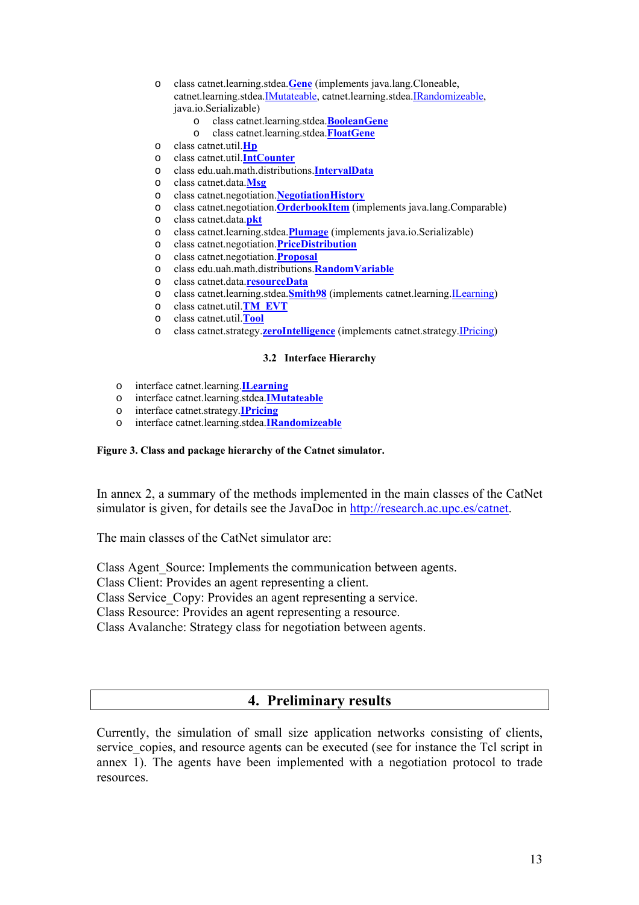- o class catnet.learning.stdea.**[Gene](http://research.ac.upc.es/catnet/javadoc/catnet/learning/stdea/Gene.html)** (implements java.lang.Cloneable, catnet.learning.stdea.[IMutateable](http://research.ac.upc.es/catnet/javadoc/catnet/learning/stdea/IMutateable.html), catnet.learning.stdea.[IRandomizeable](http://research.ac.upc.es/catnet/javadoc/catnet/learning/stdea/IRandomizeable.html), java.io.Serializable)
	- o class catnet.learning.stdea.**[BooleanGene](http://research.ac.upc.es/catnet/javadoc/catnet/learning/stdea/BooleanGene.html)**
	- o class catnet.learning.stdea.**[FloatGene](http://research.ac.upc.es/catnet/javadoc/catnet/learning/stdea/FloatGene.html)**
- o class catnet.util.**[Hp](http://research.ac.upc.es/catnet/javadoc/catnet/util/Hp.html)**
- o class catnet.util.**[IntCounter](http://research.ac.upc.es/catnet/javadoc/catnet/util/IntCounter.html)**
- o class edu.uah.math.distributions.**[IntervalData](http://research.ac.upc.es/catnet/javadoc/edu/uah/math/distributions/IntervalData.html)**
- o class catnet.data.**[Msg](http://research.ac.upc.es/catnet/javadoc/catnet/data/Msg.html)**
- o class catnet.negotiation.**[NegotiationHistory](http://research.ac.upc.es/catnet/javadoc/catnet/negotiation/NegotiationHistory.html)**
- o class catnet.negotiation.**[OrderbookItem](http://research.ac.upc.es/catnet/javadoc/catnet/negotiation/OrderbookItem.html)** (implements java.lang.Comparable)
- o class catnet.data.**[pkt](http://research.ac.upc.es/catnet/javadoc/catnet/data/pkt.html)**
- o class catnet.learning.stdea.**[Plumage](http://research.ac.upc.es/catnet/javadoc/catnet/learning/stdea/Plumage.html)** (implements java.io.Serializable)
- o class catnet.negotiation.**[PriceDistribution](http://research.ac.upc.es/catnet/javadoc/catnet/negotiation/PriceDistribution.html)**
- o class catnet.negotiation.**[Proposal](http://research.ac.upc.es/catnet/javadoc/catnet/negotiation/Proposal.html)**
- o class edu.uah.math.distributions.**[RandomVariable](http://research.ac.upc.es/catnet/javadoc/edu/uah/math/distributions/RandomVariable.html)**
- o class catnet.data.**[resourceData](http://research.ac.upc.es/catnet/javadoc/catnet/data/resourceData.html)**
- o class catnet.learning.stdea.**[Smith98](http://research.ac.upc.es/catnet/javadoc/catnet/learning/stdea/Smith98.html)** (implements catnet.learning.[ILearning](http://research.ac.upc.es/catnet/javadoc/catnet/learning/ILearning.html))
- o class catnet.util.**[TM\\_EVT](http://research.ac.upc.es/catnet/javadoc/catnet/util/TM_EVT.html)**
- o class catnet.util.**[Tool](http://research.ac.upc.es/catnet/javadoc/catnet/util/Tool.html)**
- o class catnet.strategy.**[zeroIntelligence](http://research.ac.upc.es/catnet/javadoc/catnet/strategy/zeroIntelligence.html)** (implements catnet.strategy.[IPricing\)](http://research.ac.upc.es/catnet/javadoc/catnet/strategy/IPricing.html)

#### **3.2 Interface Hierarchy**

- o interface catnet.learning.**[ILearning](http://research.ac.upc.es/catnet/javadoc/catnet/learning/ILearning.html)**
- o interface catnet.learning.stdea.**[IMutateable](http://research.ac.upc.es/catnet/javadoc/catnet/learning/stdea/IMutateable.html)**
- o interface catnet.strategy.**[IPricing](http://research.ac.upc.es/catnet/javadoc/catnet/strategy/IPricing.html)**
- o interface catnet.learning.stdea.**[IRandomizeable](http://research.ac.upc.es/catnet/javadoc/catnet/learning/stdea/IRandomizeable.html)**

#### **Figure 3. Class and package hierarchy of the Catnet simulator.**

In annex 2, a summary of the methods implemented in the main classes of the CatNet simulator is given, for details see the JavaDoc in [http://research.ac.upc.es/catnet.](http://research.ac.upc.es/catnet)

The main classes of the CatNet simulator are:

Class Agent Source: Implements the communication between agents.

Class Client: Provides an agent representing a client.

Class Service Copy: Provides an agent representing a service.

Class Resource: Provides an agent representing a resource.

Class Avalanche: Strategy class for negotiation between agents.

### **4. Preliminary results**

Currently, the simulation of small size application networks consisting of clients, service copies, and resource agents can be executed (see for instance the Tcl script in annex 1). The agents have been implemented with a negotiation protocol to trade resources.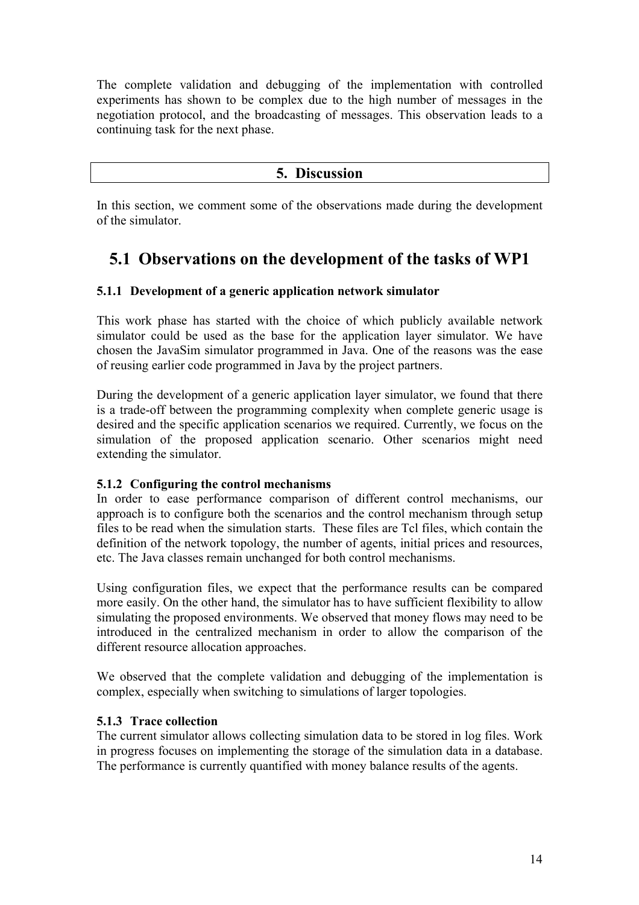The complete validation and debugging of the implementation with controlled experiments has shown to be complex due to the high number of messages in the negotiation protocol, and the broadcasting of messages. This observation leads to a continuing task for the next phase.

#### **5. Discussion**

In this section, we comment some of the observations made during the development of the simulator.

## **5.1 Observations on the development of the tasks of WP1**

#### **5.1.1 Development of a generic application network simulator**

This work phase has started with the choice of which publicly available network simulator could be used as the base for the application layer simulator. We have chosen the JavaSim simulator programmed in Java. One of the reasons was the ease of reusing earlier code programmed in Java by the project partners.

During the development of a generic application layer simulator, we found that there is a trade-off between the programming complexity when complete generic usage is desired and the specific application scenarios we required. Currently, we focus on the simulation of the proposed application scenario. Other scenarios might need extending the simulator.

#### **5.1.2 Configuring the control mechanisms**

In order to ease performance comparison of different control mechanisms, our approach is to configure both the scenarios and the control mechanism through setup files to be read when the simulation starts. These files are Tcl files, which contain the definition of the network topology, the number of agents, initial prices and resources, etc. The Java classes remain unchanged for both control mechanisms.

Using configuration files, we expect that the performance results can be compared more easily. On the other hand, the simulator has to have sufficient flexibility to allow simulating the proposed environments. We observed that money flows may need to be introduced in the centralized mechanism in order to allow the comparison of the different resource allocation approaches.

We observed that the complete validation and debugging of the implementation is complex, especially when switching to simulations of larger topologies.

#### **5.1.3 Trace collection**

The current simulator allows collecting simulation data to be stored in log files. Work in progress focuses on implementing the storage of the simulation data in a database. The performance is currently quantified with money balance results of the agents.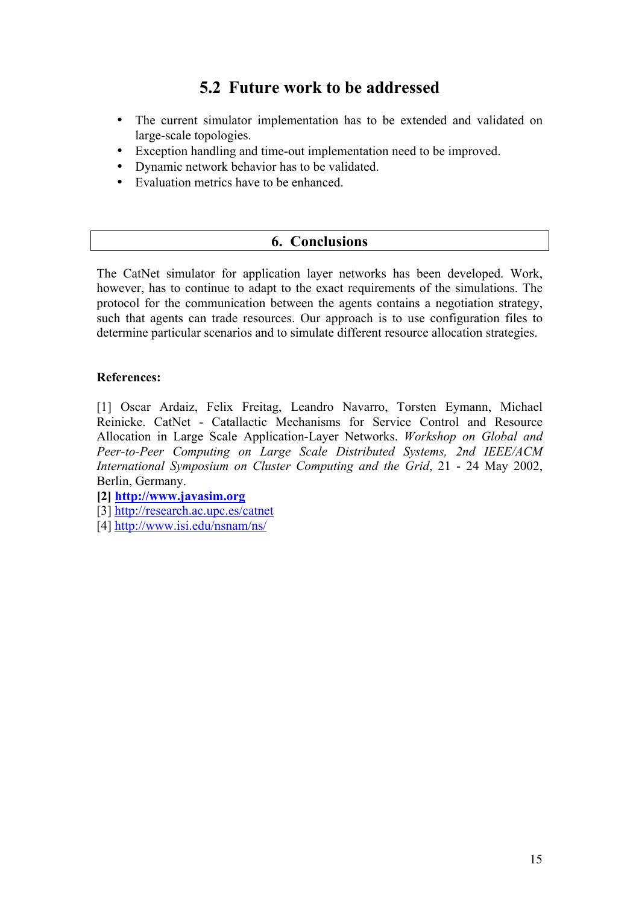## **5.2 Future work to be addressed**

- The current simulator implementation has to be extended and validated on large-scale topologies.
- Exception handling and time-out implementation need to be improved.
- Dynamic network behavior has to be validated.
- Evaluation metrics have to be enhanced.

### **6. Conclusions**

The CatNet simulator for application layer networks has been developed. Work, however, has to continue to adapt to the exact requirements of the simulations. The protocol for the communication between the agents contains a negotiation strategy, such that agents can trade resources. Our approach is to use configuration files to determine particular scenarios and to simulate different resource allocation strategies.

#### **References:**

[1] Oscar Ardaiz, Felix Freitag, Leandro Navarro, Torsten Eymann, Michael Reinicke. CatNet - Catallactic Mechanisms for Service Control and Resource Allocation in Large Scale Application-Layer Networks. *Workshop on Global and Peer-to-Peer Computing on Large Scale Distributed Systems, 2nd IEEE/ACM International Symposium on Cluster Computing and the Grid*, 21 - 24 May 2002, Berlin, Germany.

#### **[2] [http://www.javasim.org](http://www.javasim.org/)**

[3] <http://research.ac.upc.es/catnet>

[4] <http://www.isi.edu/nsnam/ns/>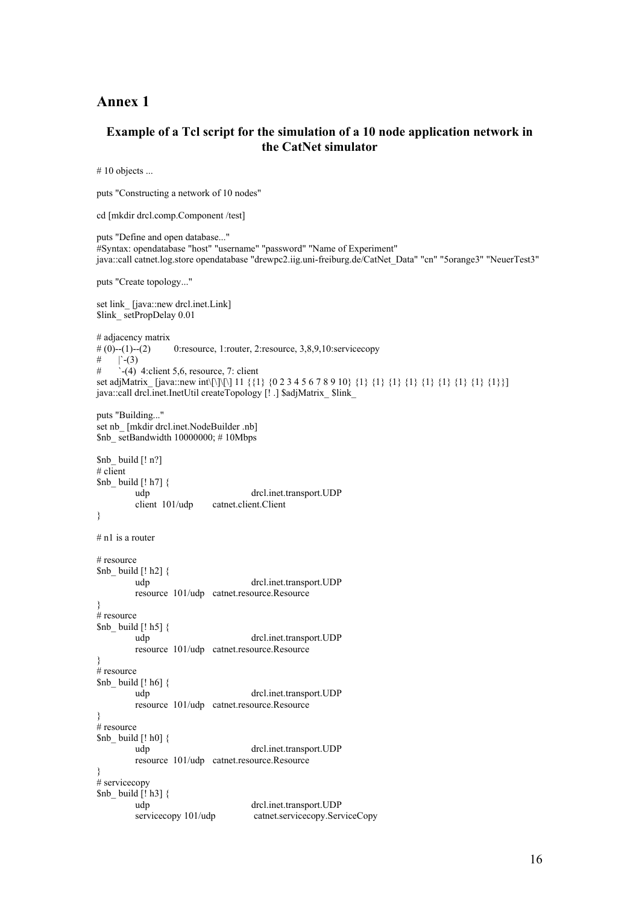#### **Annex 1**

#### **Example of a Tcl script for the simulation of a 10 node application network in the CatNet simulator**

# 10 objects ...

puts "Constructing a network of 10 nodes"

```
cd [mkdir drcl.comp.Component /test]
```
puts "Define and open database..." #Syntax: opendatabase "host" "username" "password" "Name of Experiment" java::call catnet.log.store opendatabase "drewpc2.iig.uni-freiburg.de/CatNet\_Data" "cn" "5orange3" "NeuerTest3"

puts "Create topology..."

```
set link [java::new drcl.inet.Link]
$link setPropDelay 0.01
# adjacency matrix<br># (0)--(1)--(2)# (0)--(1)--(2) 0:resource, 1:router, 2:resource, 3,8,9,10:servicecopy<br># \Gamma-(3)
    \Gamma -(3)
\# \therefore (4) 4:client 5,6, resource, 7: client
set adjMatrix_ [java::new int\[\]\[\] 11 {{1} {0 2 3 4 5 6 7 8 9 10} {1} {1} {1} {1} {1} {1} {1} {1} {1}}]
java::call drcl.inet.InetUtil createTopology [! .] $adjMatrix_ $link_
puts "Building..."
set nb [mkdir drcl.inet.NodeBuilder .nb]
$nb setBandwidth 10000000; # 10Mbps
$nb_ build [! n?]
# client
$nb build [! h7] {
          udp drcl.inet.transport.UDP 
         client 101/udp catnet.client.Client 
} 
# n1 is a router
# resource 
$nb build [! h2] {
          udp drcl.inet.transport.UDP 
         resource 101/udp catnet.resource.Resource 
} 
# resource 
$nb build [! h5] {
          udp drcl.inet.transport.UDP 
         resource 101/udp catnet.resource.Resource 
} 
# resource
$nb_ build [! h6] { 
          udp drcl.inet.transport.UDP 
         resource 101/udp catnet.resource.Resource 
} 
# resource 
$nb_ build [! h0] { 
          udp drcl.inet.transport.UDP 
         resource 101/udp catnet.resource.Resource 
} 
# servicecopy
$nb_ build [! h3] { 
          udp drcl.inet.transport.UDP 
         servicecopy 101/udp catnet.servicecopy.ServiceCopy
```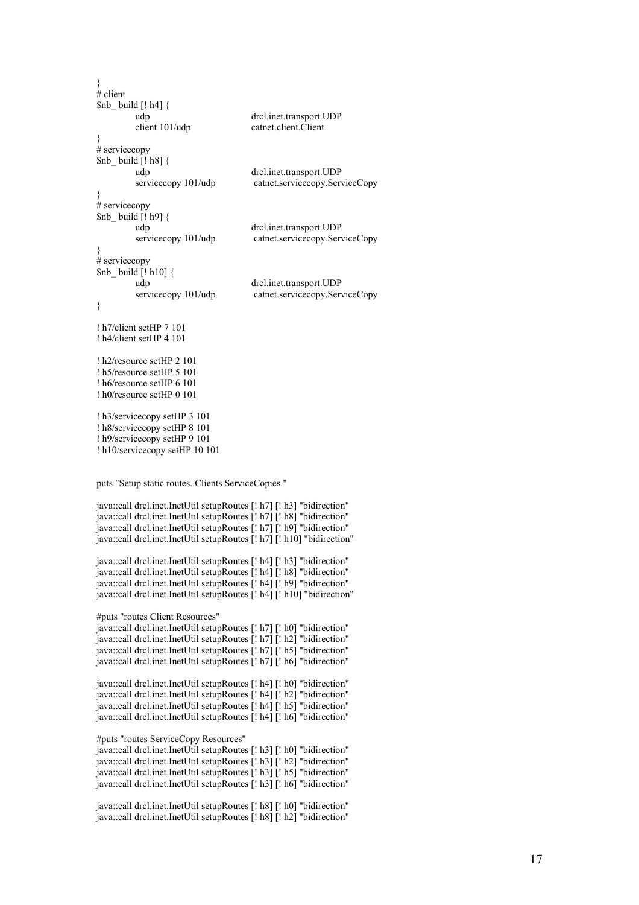}  $#$  client  $$nb$  build [! h4] { udp drcl.inet.transport.UDP client 101/udp catnet.client.Client } # servicecopy  $$nb$  build [! h8] { udp drcl.inet.transport.UDP servicecopy 101/udp catnet.servicecopy.ServiceCopy }  $#$  servicecopy  $$nb$  build [! h9] { udp drcl.inet.transport.UDP servicecopy 101/udp catnet.servicecopy.ServiceCopy } # servicecopy \$nb\_ build [! h10] { udp drcl.inet.transport.UDP servicecopy 101/udp catnet.servicecopy.ServiceCopy } ! h7/client setHP 7 101 ! h4/client setHP 4 101 ! h2/resource setHP 2 101 ! h5/resource setHP 5 101 ! h6/resource setHP 6 101 ! h0/resource setHP 0 101 ! h3/servicecopy setHP 3 101 ! h8/servicecopy setHP 8 101 ! h9/servicecopy setHP 9 101 ! h10/servicecopy setHP 10 101 puts "Setup static routes..Clients ServiceCopies." java::call drcl.inet.InetUtil setupRoutes [! h7] [! h3] "bidirection" java::call drcl.inet.InetUtil setupRoutes [! h7] [! h8] "bidirection" java::call drcl.inet.InetUtil setupRoutes [! h7] [! h9] "bidirection" java::call drcl.inet.InetUtil setupRoutes [! h7] [! h10] "bidirection" java::call drcl.inet.InetUtil setupRoutes [! h4] [! h3] "bidirection" java::call drcl.inet.InetUtil setupRoutes [! h4] [! h8] "bidirection" java::call drcl.inet.InetUtil setupRoutes [! h4] [! h9] "bidirection" java::call drcl.inet.InetUtil setupRoutes [! h4] [! h10] "bidirection" #puts "routes Client Resources" java::call drcl.inet.InetUtil setupRoutes [! h7] [! h0] "bidirection" java::call drcl.inet.InetUtil setupRoutes [! h7] [! h2] "bidirection" java::call drcl.inet.InetUtil setupRoutes [! h7] [! h5] "bidirection" java::call drcl.inet.InetUtil setupRoutes [! h7] [! h6] "bidirection" java::call drcl.inet.InetUtil setupRoutes [! h4] [! h0] "bidirection" java::call drcl.inet.InetUtil setupRoutes [! h4] [! h2] "bidirection" java::call drcl.inet.InetUtil setupRoutes [! h4] [! h5] "bidirection" java::call drcl.inet.InetUtil setupRoutes [! h4] [! h6] "bidirection"

#puts "routes ServiceCopy Resources"

java::call drcl.inet.InetUtil setupRoutes [! h3] [! h0] "bidirection" java::call drcl.inet.InetUtil setupRoutes [! h3] [! h2] "bidirection" java::call drcl.inet.InetUtil setupRoutes [! h3] [! h5] "bidirection" java::call drcl.inet.InetUtil setupRoutes [! h3] [! h6] "bidirection"

java::call drcl.inet.InetUtil setupRoutes [! h8] [! h0] "bidirection" java::call drcl.inet.InetUtil setupRoutes [! h8] [! h2] "bidirection"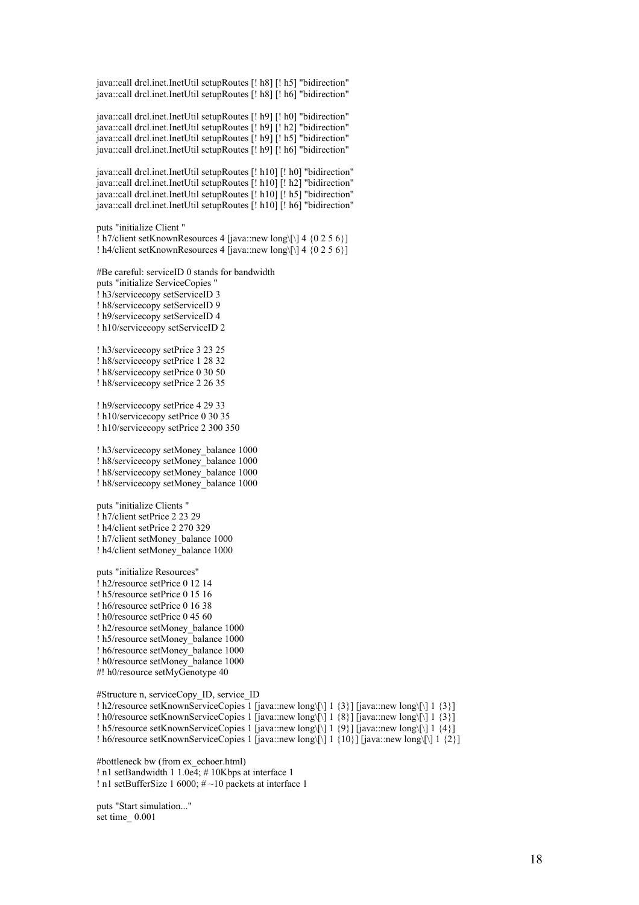java::call drcl.inet.InetUtil setupRoutes [! h8] [! h5] "bidirection" java::call drcl.inet.InetUtil setupRoutes [! h8] [! h6] "bidirection"

java::call drcl.inet.InetUtil setupRoutes [! h9] [! h0] "bidirection" java::call drcl.inet.InetUtil setupRoutes [! h9] [! h2] "bidirection" java::call drcl.inet.InetUtil setupRoutes [! h9] [! h5] "bidirection" java::call drcl.inet.InetUtil setupRoutes [! h9] [! h6] "bidirection"

java::call drcl.inet.InetUtil setupRoutes [! h10] [! h0] "bidirection" java::call drcl.inet.InetUtil setupRoutes [! h10] [! h2] "bidirection" java::call drcl.inet.InetUtil setupRoutes [! h10] [! h5] "bidirection" java::call drcl.inet.InetUtil setupRoutes [! h10] [! h6] "bidirection"

puts "initialize Client "

! h7/client setKnownResources 4 [java::new long\[\] 4 {0 2 5 6}] ! h4/client setKnownResources 4 [java::new long\[\] 4 {0 2 5 6}]

#Be careful: serviceID 0 stands for bandwidth

puts "initialize ServiceCopies "

! h3/servicecopy setServiceID 3

! h8/servicecopy setServiceID 9

! h9/servicecopy setServiceID 4

! h10/servicecopy setServiceID 2

! h3/servicecopy setPrice 3 23 25

! h8/servicecopy setPrice 1 28 32

! h8/servicecopy setPrice 0 30 50

! h8/servicecopy setPrice 2 26 35

! h9/servicecopy setPrice 4 29 33

! h10/servicecopy setPrice 0 30 35

! h10/servicecopy setPrice 2 300 350

! h3/servicecopy setMoney\_balance 1000

! h8/servicecopy setMoney\_balance 1000

! h8/servicecopy setMoney\_balance 1000

! h8/servicecopy setMoney\_balance 1000

puts "initialize Clients "

! h7/client setPrice 2 23 29

! h4/client setPrice 2 270 329

! h7/client setMoney\_balance 1000

! h4/client setMoney\_balance 1000

puts "initialize Resources"

! h2/resource setPrice 0 12 14

! h5/resource setPrice 0 15 16

! h6/resource setPrice 0 16 38

! h0/resource setPrice 0 45 60

! h2/resource setMoney\_balance 1000

! h5/resource setMoney\_balance 1000

! h6/resource setMoney\_balance 1000

! h0/resource setMoney\_balance 1000 #! h0/resource setMyGenotype 40

#Structure n, serviceCopy\_ID, service\_ID

! h2/resource setKnownServiceCopies 1 [java::new long\[\] 1 {3}] [java::new long\[\] 1 {3}]

! h0/resource setKnownServiceCopies 1 [java::new long\[\] 1 {8}] [java::new long\[\] 1 {3}]

! h5/resource setKnownServiceCopies 1 [java::new long\[\] 1 {9}] [java::new long\[\] 1 {4}]

! h6/resource setKnownServiceCopies 1 [java::new long\[\] 1  $\{10\}$ ] [java::new long\[\] 1  $\{2\}$ ]

#bottleneck bw (from ex\_echoer.html)

! n1 setBandwidth 1 1.0e4; # 10Kbps at interface 1

! n1 setBufferSize 1 6000;  $\# \sim 10$  packets at interface 1

puts "Start simulation..." set time\_ 0.001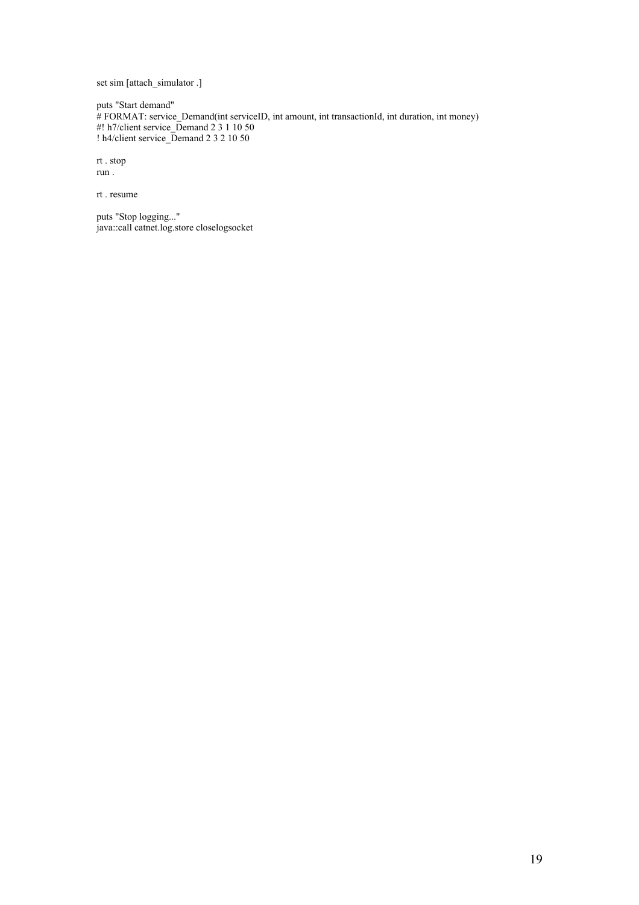set sim [attach\_simulator .]

puts "Start demand" # FORMAT: service\_Demand(int serviceID, int amount, int transactionId, int duration, int money) #! h7/client service\_Demand 2 3 1 10 50 ! h4/client service\_Demand 2 3 2 10 50

rt . stop run .

rt . resume

puts "Stop logging..." java::call catnet.log.store closelogsocket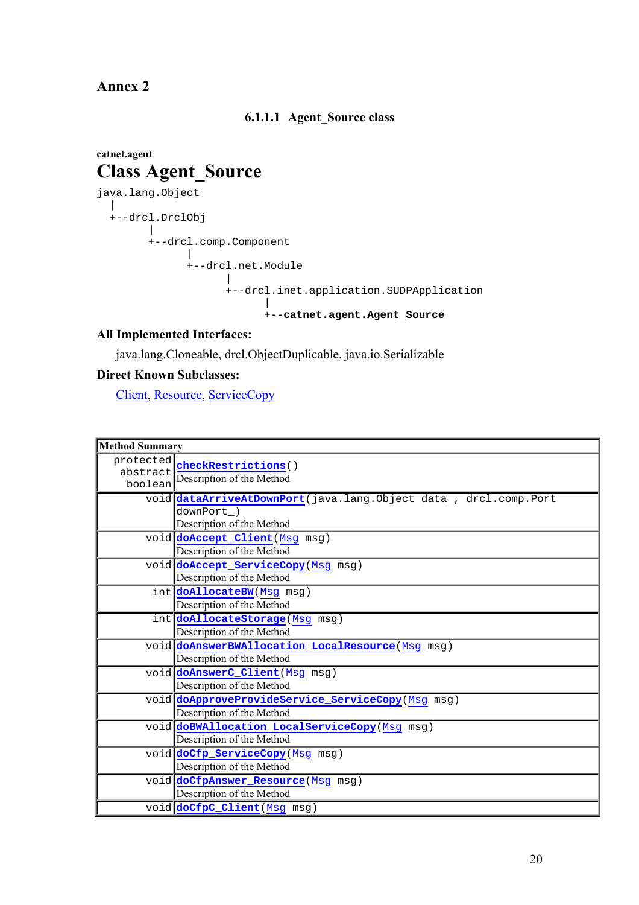**Annex 2** 

#### **6.1.1.1 Agent\_Source class**

## **catnet.agent Class Agent\_Source**

```
java.lang.Object 
 | 
  +--drcl.DrclObj 
 | 
 +--drcl.comp.Component 
 | 
 +--drcl.net.Module 
 | 
 +--drcl.inet.application.SUDPApplication 
 | 
                  +--catnet.agent.Agent_Source
```
#### **All Implemented Interfaces:**

java.lang.Cloneable, drcl.ObjectDuplicable, java.io.Serializable

#### **Direct Known Subclasses:**

Client, Resource, ServiceCopy

| <b>Method Summary</b> |                                                                                                            |  |
|-----------------------|------------------------------------------------------------------------------------------------------------|--|
| abstract<br>boolean   | protected checkRestrictions()<br>Description of the Method                                                 |  |
|                       | void dataArriveAtDownPort(java.lang.Object data, drcl.comp.Port<br>downPort )<br>Description of the Method |  |
|                       | void doAccept_Client (Msg msg)<br>Description of the Method                                                |  |
|                       | void doAccept_ServiceCopy(Msg msg)<br>Description of the Method                                            |  |
|                       | int doAllocateBW(Msg msg)<br>Description of the Method                                                     |  |
|                       | int doAllocateStorage (Msg msg)<br>Description of the Method                                               |  |
|                       | void doAnswerBWAllocation_LocalResource (Msg msg)<br>Description of the Method                             |  |
|                       | void doAnswerC_Client (Msg msg)<br>Description of the Method                                               |  |
|                       | void doApproveProvideService_ServiceCopy(Msg msg)<br>Description of the Method                             |  |
|                       | void doBWAllocation_LocalServiceCopy (Msg msg)<br>Description of the Method                                |  |
|                       | void doCfp_ServiceCopy(Msg msg)<br>Description of the Method                                               |  |
|                       | void doCfpAnswer_Resource (Msg msg)<br>Description of the Method                                           |  |
|                       | void doCfpC_Client (Msg msg)                                                                               |  |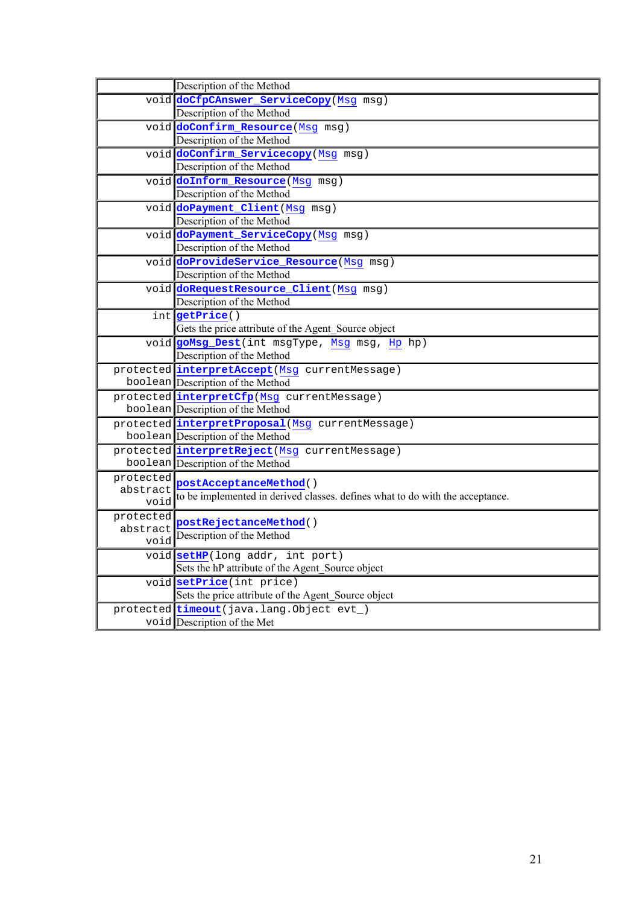| Description of the Method<br>void doCfpCAnswer_ServiceCopy(Msg msg)<br>Description of the Method<br>void doConfirm_Resource (Msg msg)<br>Description of the Method<br>void doConfirm_Servicecopy (Msg msg)<br>Description of the Method<br>void doInform_Resource (Msg msg)<br>Description of the Method<br>void doPayment_Client (Msg msg)<br>Description of the Method<br>void doPayment_ServiceCopy (Msg msg)<br>Description of the Method<br>void doProvideService_Resource (Msg msg)<br>Description of the Method<br>void doRequestResource_Client (Msg msg)<br>Description of the Method<br>int getPrice()<br>Gets the price attribute of the Agent_Source object<br>void goMsg_Dest(int msgType, Msg msg, Hp hp)<br>Description of the Method<br>protected interpretAccept (Msg currentMessage)<br>boolean Description of the Method<br>protected interpretCfp(Msg currentMessage)<br>boolean Description of the Method<br>protected interpretProposal (Msg currentMessage)<br>boolean Description of the Method<br>protected interpretReject (Msg currentMessage)<br>boolean Description of the Method |
|----------------------------------------------------------------------------------------------------------------------------------------------------------------------------------------------------------------------------------------------------------------------------------------------------------------------------------------------------------------------------------------------------------------------------------------------------------------------------------------------------------------------------------------------------------------------------------------------------------------------------------------------------------------------------------------------------------------------------------------------------------------------------------------------------------------------------------------------------------------------------------------------------------------------------------------------------------------------------------------------------------------------------------------------------------------------------------------------------------------|
|                                                                                                                                                                                                                                                                                                                                                                                                                                                                                                                                                                                                                                                                                                                                                                                                                                                                                                                                                                                                                                                                                                                |
|                                                                                                                                                                                                                                                                                                                                                                                                                                                                                                                                                                                                                                                                                                                                                                                                                                                                                                                                                                                                                                                                                                                |
|                                                                                                                                                                                                                                                                                                                                                                                                                                                                                                                                                                                                                                                                                                                                                                                                                                                                                                                                                                                                                                                                                                                |
|                                                                                                                                                                                                                                                                                                                                                                                                                                                                                                                                                                                                                                                                                                                                                                                                                                                                                                                                                                                                                                                                                                                |
|                                                                                                                                                                                                                                                                                                                                                                                                                                                                                                                                                                                                                                                                                                                                                                                                                                                                                                                                                                                                                                                                                                                |
|                                                                                                                                                                                                                                                                                                                                                                                                                                                                                                                                                                                                                                                                                                                                                                                                                                                                                                                                                                                                                                                                                                                |
|                                                                                                                                                                                                                                                                                                                                                                                                                                                                                                                                                                                                                                                                                                                                                                                                                                                                                                                                                                                                                                                                                                                |
|                                                                                                                                                                                                                                                                                                                                                                                                                                                                                                                                                                                                                                                                                                                                                                                                                                                                                                                                                                                                                                                                                                                |
|                                                                                                                                                                                                                                                                                                                                                                                                                                                                                                                                                                                                                                                                                                                                                                                                                                                                                                                                                                                                                                                                                                                |
|                                                                                                                                                                                                                                                                                                                                                                                                                                                                                                                                                                                                                                                                                                                                                                                                                                                                                                                                                                                                                                                                                                                |
|                                                                                                                                                                                                                                                                                                                                                                                                                                                                                                                                                                                                                                                                                                                                                                                                                                                                                                                                                                                                                                                                                                                |
|                                                                                                                                                                                                                                                                                                                                                                                                                                                                                                                                                                                                                                                                                                                                                                                                                                                                                                                                                                                                                                                                                                                |
|                                                                                                                                                                                                                                                                                                                                                                                                                                                                                                                                                                                                                                                                                                                                                                                                                                                                                                                                                                                                                                                                                                                |
|                                                                                                                                                                                                                                                                                                                                                                                                                                                                                                                                                                                                                                                                                                                                                                                                                                                                                                                                                                                                                                                                                                                |
|                                                                                                                                                                                                                                                                                                                                                                                                                                                                                                                                                                                                                                                                                                                                                                                                                                                                                                                                                                                                                                                                                                                |
|                                                                                                                                                                                                                                                                                                                                                                                                                                                                                                                                                                                                                                                                                                                                                                                                                                                                                                                                                                                                                                                                                                                |
|                                                                                                                                                                                                                                                                                                                                                                                                                                                                                                                                                                                                                                                                                                                                                                                                                                                                                                                                                                                                                                                                                                                |
|                                                                                                                                                                                                                                                                                                                                                                                                                                                                                                                                                                                                                                                                                                                                                                                                                                                                                                                                                                                                                                                                                                                |
|                                                                                                                                                                                                                                                                                                                                                                                                                                                                                                                                                                                                                                                                                                                                                                                                                                                                                                                                                                                                                                                                                                                |
|                                                                                                                                                                                                                                                                                                                                                                                                                                                                                                                                                                                                                                                                                                                                                                                                                                                                                                                                                                                                                                                                                                                |
|                                                                                                                                                                                                                                                                                                                                                                                                                                                                                                                                                                                                                                                                                                                                                                                                                                                                                                                                                                                                                                                                                                                |
|                                                                                                                                                                                                                                                                                                                                                                                                                                                                                                                                                                                                                                                                                                                                                                                                                                                                                                                                                                                                                                                                                                                |
|                                                                                                                                                                                                                                                                                                                                                                                                                                                                                                                                                                                                                                                                                                                                                                                                                                                                                                                                                                                                                                                                                                                |
|                                                                                                                                                                                                                                                                                                                                                                                                                                                                                                                                                                                                                                                                                                                                                                                                                                                                                                                                                                                                                                                                                                                |
|                                                                                                                                                                                                                                                                                                                                                                                                                                                                                                                                                                                                                                                                                                                                                                                                                                                                                                                                                                                                                                                                                                                |
|                                                                                                                                                                                                                                                                                                                                                                                                                                                                                                                                                                                                                                                                                                                                                                                                                                                                                                                                                                                                                                                                                                                |
|                                                                                                                                                                                                                                                                                                                                                                                                                                                                                                                                                                                                                                                                                                                                                                                                                                                                                                                                                                                                                                                                                                                |
|                                                                                                                                                                                                                                                                                                                                                                                                                                                                                                                                                                                                                                                                                                                                                                                                                                                                                                                                                                                                                                                                                                                |
|                                                                                                                                                                                                                                                                                                                                                                                                                                                                                                                                                                                                                                                                                                                                                                                                                                                                                                                                                                                                                                                                                                                |
| protected<br>postAcceptanceMethod()                                                                                                                                                                                                                                                                                                                                                                                                                                                                                                                                                                                                                                                                                                                                                                                                                                                                                                                                                                                                                                                                            |
| abstract<br>to be implemented in derived classes. defines what to do with the acceptance.<br>void                                                                                                                                                                                                                                                                                                                                                                                                                                                                                                                                                                                                                                                                                                                                                                                                                                                                                                                                                                                                              |
|                                                                                                                                                                                                                                                                                                                                                                                                                                                                                                                                                                                                                                                                                                                                                                                                                                                                                                                                                                                                                                                                                                                |
| protected<br>postRejectanceMethod()                                                                                                                                                                                                                                                                                                                                                                                                                                                                                                                                                                                                                                                                                                                                                                                                                                                                                                                                                                                                                                                                            |
| abstract<br>Description of the Method<br>void                                                                                                                                                                                                                                                                                                                                                                                                                                                                                                                                                                                                                                                                                                                                                                                                                                                                                                                                                                                                                                                                  |
|                                                                                                                                                                                                                                                                                                                                                                                                                                                                                                                                                                                                                                                                                                                                                                                                                                                                                                                                                                                                                                                                                                                |
|                                                                                                                                                                                                                                                                                                                                                                                                                                                                                                                                                                                                                                                                                                                                                                                                                                                                                                                                                                                                                                                                                                                |
| void setHP(long addr, int port)                                                                                                                                                                                                                                                                                                                                                                                                                                                                                                                                                                                                                                                                                                                                                                                                                                                                                                                                                                                                                                                                                |
| Sets the hP attribute of the Agent Source object                                                                                                                                                                                                                                                                                                                                                                                                                                                                                                                                                                                                                                                                                                                                                                                                                                                                                                                                                                                                                                                               |
| void setPrice(int price)                                                                                                                                                                                                                                                                                                                                                                                                                                                                                                                                                                                                                                                                                                                                                                                                                                                                                                                                                                                                                                                                                       |
| Sets the price attribute of the Agent_Source object<br>protected timeout (java.lang.Object evt_)                                                                                                                                                                                                                                                                                                                                                                                                                                                                                                                                                                                                                                                                                                                                                                                                                                                                                                                                                                                                               |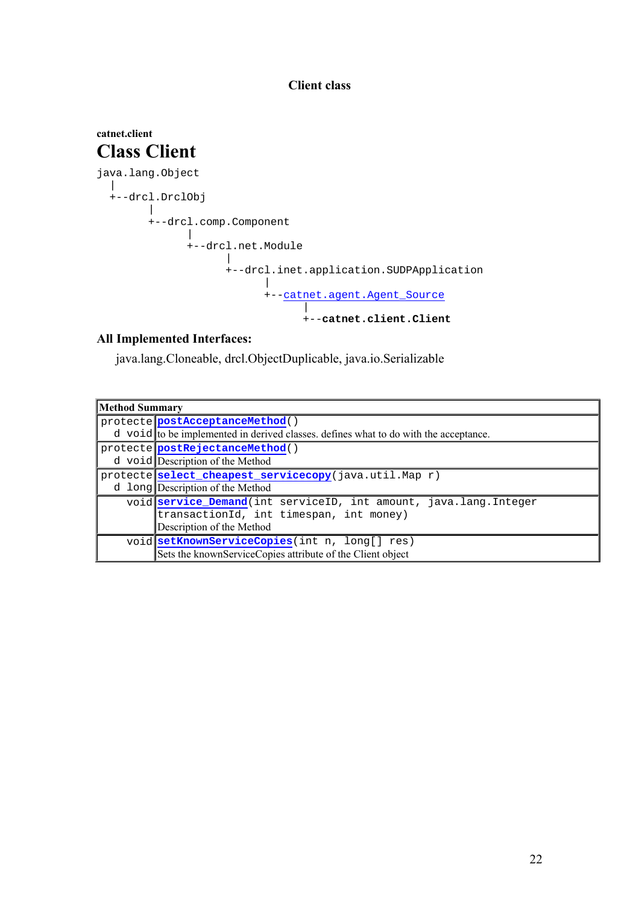#### **Client class**

#### **catnet.client Class Client**  java.lang.Object | +--drcl.DrclObj | +--drcl.comp.Component | +--drcl.net.Module | +--drcl.inet.application.SUDPApplication | +--catnet.agent.Agent\_Source | +--**catnet.client.Client**

#### **All Implemented Interfaces:**

java.lang.Cloneable, drcl.ObjectDuplicable, java.io.Serializable

| <b>Method Summary</b> |                                                                                      |
|-----------------------|--------------------------------------------------------------------------------------|
|                       | protecte postAcceptanceMethod()                                                      |
|                       | d void to be implemented in derived classes, defines what to do with the acceptance. |
|                       | protecte postRejectanceMethod()                                                      |
|                       | d void Description of the Method                                                     |
|                       | protecte select_cheapest_servicecopy(java.util.Map r)                                |
|                       | d long Description of the Method                                                     |
|                       | void service_Demand(int serviceID, int amount, java.lang. Integer                    |
|                       | transactionId, int timespan, int money)                                              |
|                       | Description of the Method                                                            |
|                       | void setKnownServiceCopies(int n, long[] res)                                        |
|                       | Sets the knownServiceCopies attribute of the Client object                           |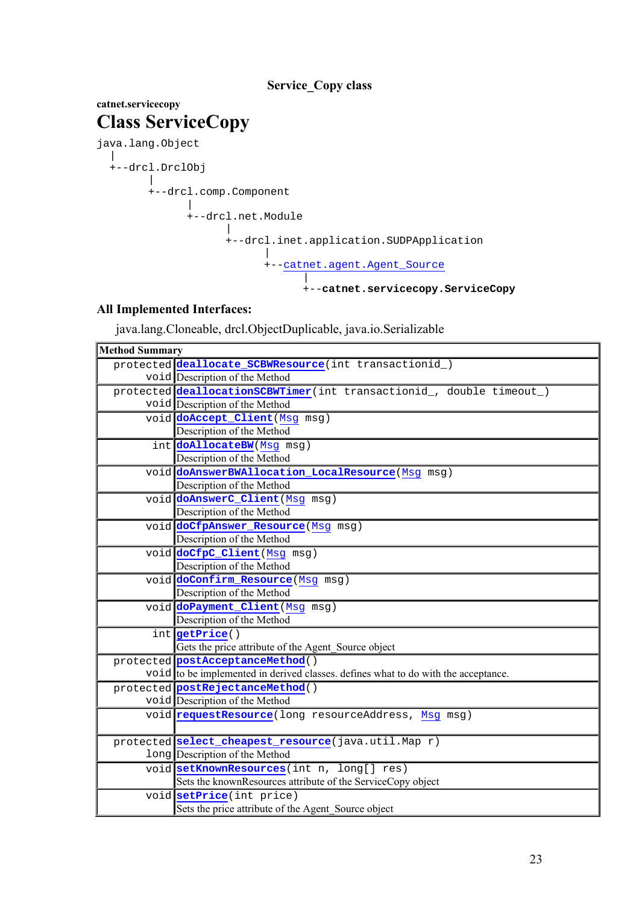#### **Service\_Copy class**

#### **catnet.servicecopy Class ServiceCopy**  java.lang.Object | +--drcl.DrclObj  $\blacksquare$  +--drcl.comp.Component | +--drcl.net.Module | +--drcl.inet.application.SUDPApplication | +--catnet.agent.Agent\_Source | +--**catnet.servicecopy.ServiceCopy**

### **All Implemented Interfaces:**

java.lang.Cloneable, drcl.ObjectDuplicable, java.io.Serializable

| <b>Method Summary</b> |                                                                                    |
|-----------------------|------------------------------------------------------------------------------------|
|                       | protected deallocate_SCBWResource(int transactionid_)                              |
|                       | void Description of the Method                                                     |
|                       | protected deallocationSCBWTimer(int transactionid_, double timeout_)               |
|                       | void Description of the Method                                                     |
|                       | void doAccept_Client (Msg msg)                                                     |
|                       | Description of the Method                                                          |
|                       | int <b>doAllocateBW</b> (Msg msg)                                                  |
|                       | Description of the Method                                                          |
|                       | void doAnswerBWAllocation_LocalResource (Msg msg)                                  |
|                       | Description of the Method                                                          |
|                       | void doAnswerC_Client (Msg msg)                                                    |
|                       | Description of the Method                                                          |
|                       | void doCfpAnswer_Resource (Msg msg)                                                |
|                       | Description of the Method                                                          |
|                       | void doCfpC_Client (Msg msg)                                                       |
|                       | Description of the Method                                                          |
|                       | void doConfirm_Resource (Msg msg)                                                  |
|                       | Description of the Method                                                          |
|                       | void doPayment_Client (Msg msg)                                                    |
|                       | Description of the Method                                                          |
|                       | int getPrice()                                                                     |
|                       | Gets the price attribute of the Agent_Source object                                |
|                       | protected postAcceptanceMethod()                                                   |
|                       | void to be implemented in derived classes. defines what to do with the acceptance. |
|                       | protected postRejectanceMethod()                                                   |
|                       | void Description of the Method                                                     |
|                       | void requestResource (long resourceAddress, Msg msg)                               |
|                       |                                                                                    |
|                       | protected select_cheapest_resource(java.util.Map r)                                |
|                       | long Description of the Method                                                     |
|                       | void setKnownResources (int n, long[] res)                                         |
|                       | Sets the knownResources attribute of the ServiceCopy object                        |
|                       | void setPrice(int price)                                                           |
|                       | Sets the price attribute of the Agent Source object                                |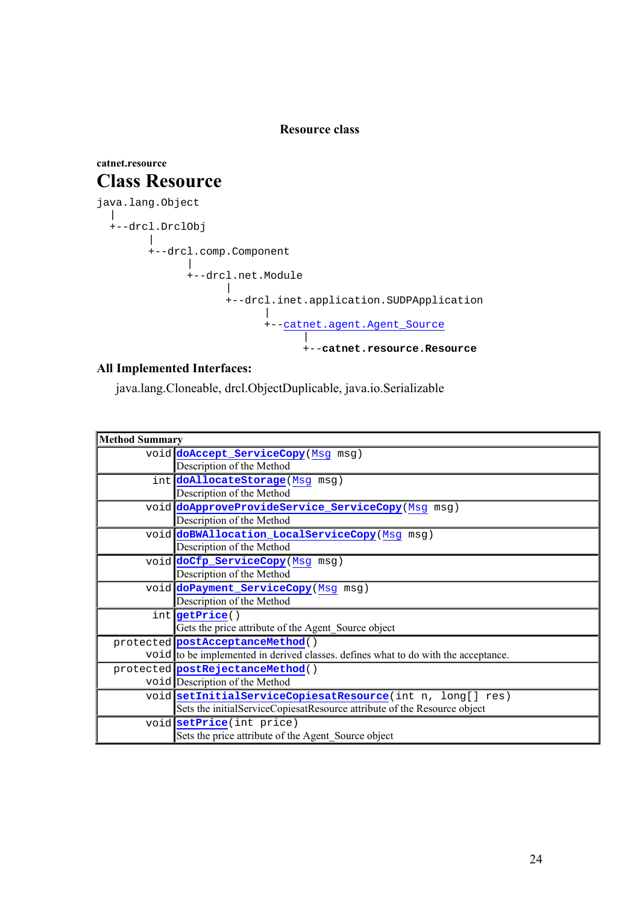#### **Resource class**

#### **catnet.resource Class Resource**  java.lang.Object | +--drcl.DrclObj  $\perp$  +--drcl.comp.Component  $\perp$  +--drcl.net.Module | +--drcl.inet.application.SUDPApplication | +--catnet.agent.Agent\_Source | +--**catnet.resource.Resource**

#### **All Implemented Interfaces:**

java.lang.Cloneable, drcl.ObjectDuplicable, java.io.Serializable

| <b>Method Summary</b> |                                                                                    |  |
|-----------------------|------------------------------------------------------------------------------------|--|
|                       | void doAccept_ServiceCopy(Msg msg)                                                 |  |
|                       | Description of the Method                                                          |  |
|                       | int doAllocateStorage (Msg msg)                                                    |  |
|                       | Description of the Method                                                          |  |
|                       | void doApproveProvideService_ServiceCopy(Msg msg)                                  |  |
|                       | Description of the Method                                                          |  |
|                       | void doBWAllocation_LocalServiceCopy (Msg msg)                                     |  |
|                       | Description of the Method                                                          |  |
|                       | void doCfp_ServiceCopy(Msg msg)                                                    |  |
|                       | Description of the Method                                                          |  |
|                       | void doPayment_ServiceCopy (Msg msg)                                               |  |
|                       | Description of the Method                                                          |  |
|                       | int getPrice()                                                                     |  |
|                       | Gets the price attribute of the Agent Source object                                |  |
|                       | protected postAcceptanceMethod()                                                   |  |
|                       | void to be implemented in derived classes, defines what to do with the acceptance. |  |
|                       | protected postRejectanceMethod()                                                   |  |
|                       | void Description of the Method                                                     |  |
|                       | void setInitialServiceCopiesatResource(int n, long[] res)                          |  |
|                       | Sets the initialServiceCopiesatResource attribute of the Resource object           |  |
|                       | void setPrice(int price)                                                           |  |
|                       | Sets the price attribute of the Agent Source object                                |  |